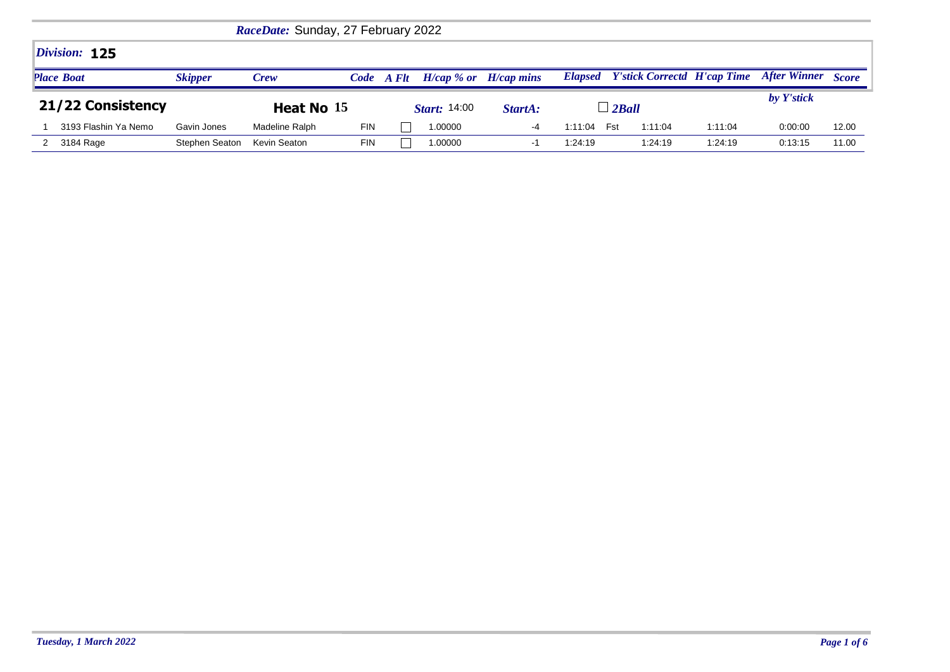| RaceDate: Sunday, 27 February 2022 |                |                |            |       |                     |                           |         |                |         |                                            |                     |              |
|------------------------------------|----------------|----------------|------------|-------|---------------------|---------------------------|---------|----------------|---------|--------------------------------------------|---------------------|--------------|
| Division: 125                      |                |                |            |       |                     |                           |         |                |         |                                            |                     |              |
| <b>Place Boat</b>                  | <b>Skipper</b> | <b>Crew</b>    | Code       | A Flt |                     | $H/cap$ % or $H/cap$ mins |         |                |         | <b>Elapsed</b> Y'stick Correctd H'cap Time | <b>After Winner</b> | <b>Score</b> |
|                                    |                |                |            |       |                     |                           |         |                |         |                                            |                     |              |
| 21/22 Consistency                  |                | Heat No 15     |            |       | <b>Start:</b> 14:00 | StartA:                   |         | $\perp$ 2 Ball |         |                                            | by Y'stick          |              |
| 3193 Flashin Ya Nemo               | Gavin Jones    | Madeline Ralph | <b>FIN</b> |       | 1.00000             | -4                        | 1:11:04 | Fst            | 1:11:04 | 1:11:04                                    | 0:00:00             | 12.00        |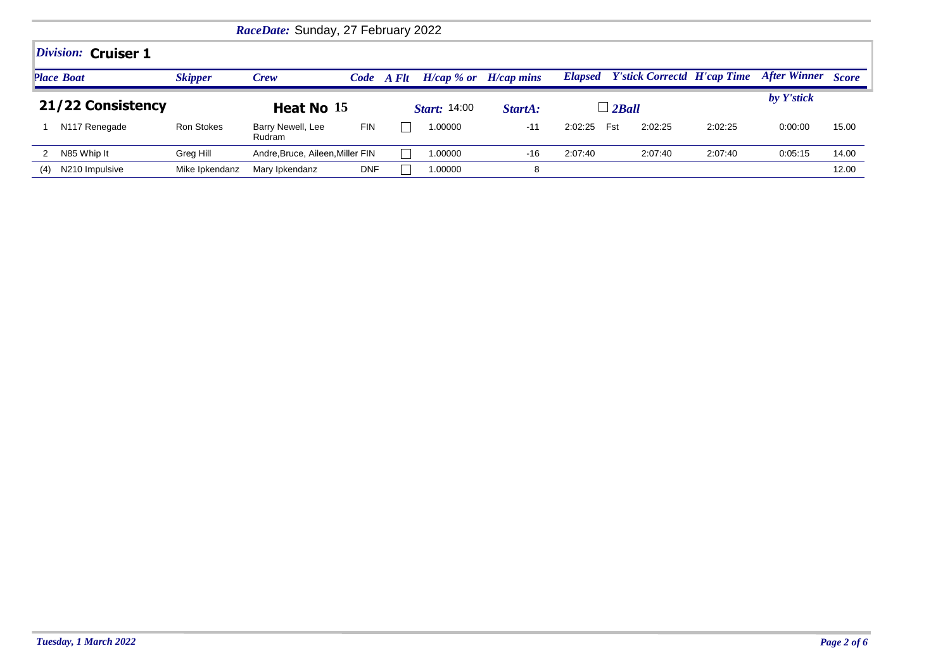|     | RaceDate: Sunday, 27 February 2022 |                   |                                  |            |       |                     |                           |                |                                    |         |                    |       |  |
|-----|------------------------------------|-------------------|----------------------------------|------------|-------|---------------------|---------------------------|----------------|------------------------------------|---------|--------------------|-------|--|
|     | Division: Cruiser 1                |                   |                                  |            |       |                     |                           |                |                                    |         |                    |       |  |
|     | <b>Place Boat</b>                  | <b>Skipper</b>    | <b>Crew</b>                      | Code       | A Flt |                     | $H/cap$ % or $H/cap$ mins | <b>Elapsed</b> | <b>Y'stick Correctd H'cap Time</b> |         | After Winner Score |       |  |
|     | 21/22 Consistency                  |                   | Heat No 15                       |            |       | <b>Start:</b> 14:00 | StartA:                   |                | $\perp$ 2Ball                      |         | by Y'stick         |       |  |
|     | N <sub>117</sub> Renegade          | <b>Ron Stokes</b> | Barry Newell, Lee<br>Rudram      | <b>FIN</b> |       | 1.00000             | $-11$                     | 2:02:25        | Fst<br>2:02:25                     | 2:02:25 | 0:00:00            | 15.00 |  |
|     | N85 Whip It                        | Greg Hill         | Andre, Bruce, Aileen, Miller FIN |            |       | 1.00000             | $-16$                     | 2:07:40        | 2:07:40                            | 2:07:40 | 0.05:15            | 14.00 |  |
| (4) | N210 Impulsive                     | Mike Ipkendanz    | Mary Ipkendanz                   | <b>DNF</b> |       | 1.00000             | 8                         |                |                                    |         |                    | 12.00 |  |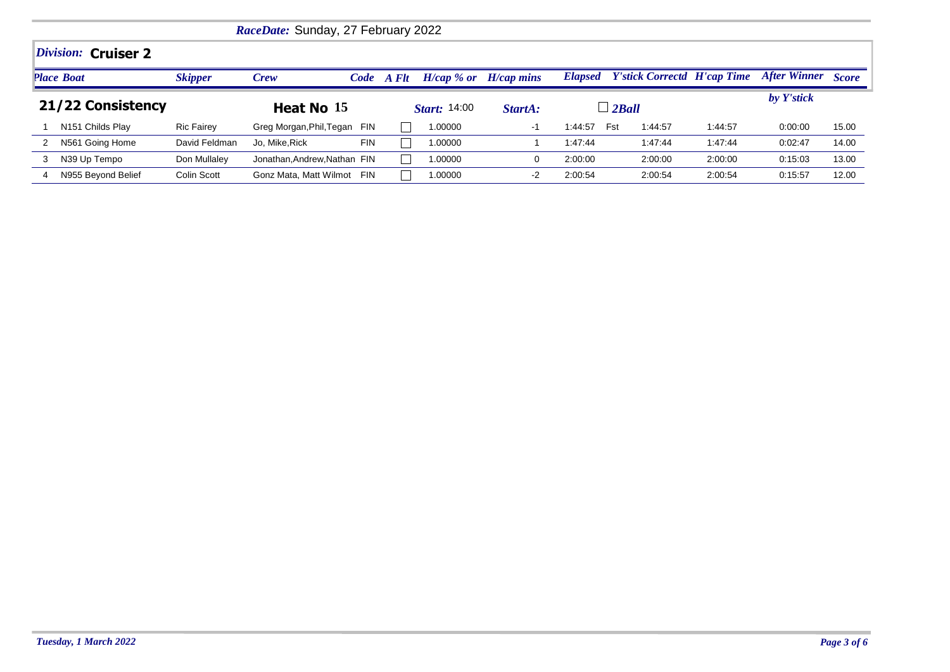|                   | RaceDate: Sunday, 27 February 2022 |                   |                              |            |                     |                           |                |                                    |         |                     |              |  |
|-------------------|------------------------------------|-------------------|------------------------------|------------|---------------------|---------------------------|----------------|------------------------------------|---------|---------------------|--------------|--|
|                   | Division: Cruiser 2                |                   |                              |            |                     |                           |                |                                    |         |                     |              |  |
|                   | <b>Place Boat</b>                  | <b>Skipper</b>    | <b>Crew</b>                  | Code A Flt |                     | $H/cap$ % or $H/cap$ mins | <b>Elapsed</b> | <b>Y'stick Correctd H'cap Time</b> |         | <b>After Winner</b> | <b>Score</b> |  |
| 21/22 Consistency |                                    |                   | Heat No 15                   |            | <b>Start:</b> 14:00 | StartA:                   |                | $\Box$ 2Ball                       |         | by Y'stick          |              |  |
|                   | N <sub>151</sub> Childs Play       | <b>Ric Fairey</b> | Greg Morgan, Phil, Tegan FIN |            | 1.00000             | -1                        | 1:44:57        | Fst<br>1:44:57                     | 1:44:57 | 0:00:00             | 15.00        |  |
|                   | N561 Going Home                    | David Feldman     | <b>FIN</b><br>Jo. Mike.Rick  |            | 1.00000             |                           | 1:47:44        | 1:47:44                            | 1:47:44 | 0:02:47             | 14.00        |  |
| 3                 | N39 Up Tempo                       | Don Mullaley      | Jonathan.Andrew.Nathan FIN   |            | 1.00000             |                           | 2:00:00        | 2:00:00                            | 2:00:00 | 0:15:03             | 13.00        |  |
|                   | N955 Beyond Belief                 | Colin Scott       | Gonz Mata, Matt Wilmot FIN   |            | 1.00000             | $-2$                      | 2:00:54        | 2:00:54                            | 2:00:54 | 0:15:57             | 12.00        |  |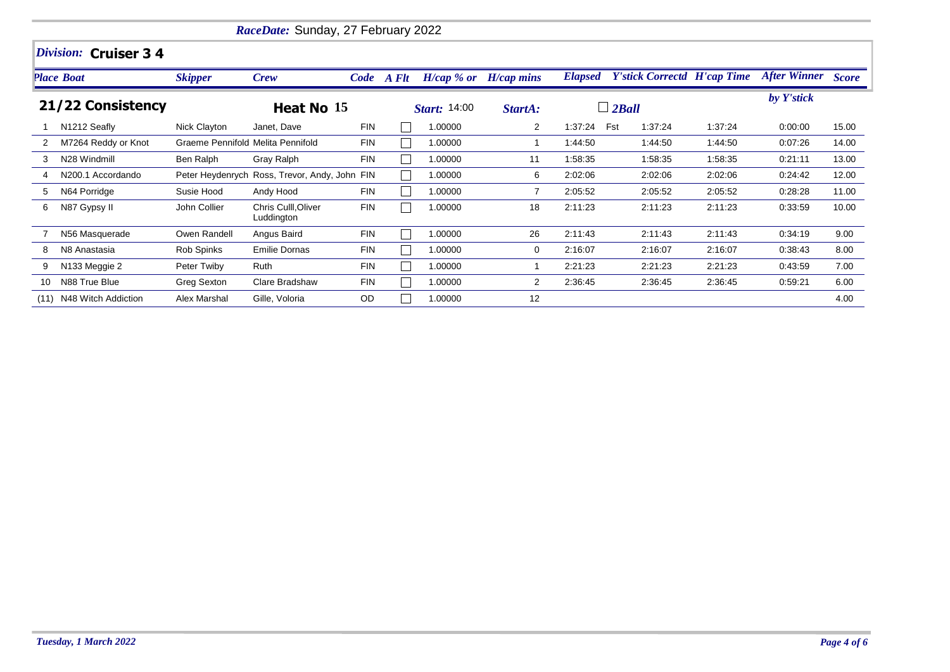|      |                               |                                   | RaceDate: Sunday, 27 February 2022            |            |                     |                           |                |                                    |         |                     |              |
|------|-------------------------------|-----------------------------------|-----------------------------------------------|------------|---------------------|---------------------------|----------------|------------------------------------|---------|---------------------|--------------|
|      | Division: Cruiser 34          |                                   |                                               |            |                     |                           |                |                                    |         |                     |              |
|      | <b>Place Boat</b>             | <b>Skipper</b>                    | <b>Crew</b>                                   | Code A Flt |                     | $H/cap$ % or $H/cap$ mins | <b>Elapsed</b> | <b>Y'stick Correctd H'cap Time</b> |         | <b>After Winner</b> | <b>Score</b> |
|      | 21/22 Consistency             |                                   | Heat No 15                                    |            | <i>Start:</i> 14:00 | StartA:                   |                | $\Box$ 2Ball                       |         | by Y'stick          |              |
|      | N1212 Seafly                  | Nick Clayton                      | Janet, Dave                                   | <b>FIN</b> | 1.00000             | 2                         | 1:37:24        | 1:37:24<br>Fst                     | 1:37:24 | 0:00:00             | 15.00        |
| 2    | M7264 Reddy or Knot           | Graeme Pennifold Melita Pennifold |                                               | <b>FIN</b> | 1.00000             | 1                         | 1:44:50        | 1:44:50                            | 1:44:50 | 0:07:26             | 14.00        |
| 3    | N28 Windmill                  | Ben Ralph                         | Gray Ralph                                    | <b>FIN</b> | 1.00000             | 11                        | 1:58:35        | 1:58:35                            | 1:58:35 | 0:21:11             | 13.00        |
|      | N <sub>200.1</sub> Accordando |                                   | Peter Heydenrych Ross, Trevor, Andy, John FIN |            | 1.00000             | 6                         | 2:02:06        | 2:02:06                            | 2:02:06 | 0:24:42             | 12.00        |
| 5    | N64 Porridge                  | Susie Hood                        | Andy Hood                                     | <b>FIN</b> | 1.00000             | $\overline{7}$            | 2:05:52        | 2:05:52                            | 2:05:52 | 0:28:28             | 11.00        |
| 6    | N87 Gypsy II                  | John Collier                      | Chris Culll, Oliver<br>Luddington             | <b>FIN</b> | 1.00000             | 18                        | 2:11:23        | 2:11:23                            | 2:11:23 | 0:33:59             | 10.00        |
|      | N56 Masquerade                | Owen Randell                      | Angus Baird                                   | <b>FIN</b> | 1.00000             | 26                        | 2:11:43        | 2:11:43                            | 2:11:43 | 0.34:19             | 9.00         |
| 8    | N8 Anastasia                  | Rob Spinks                        | <b>Emilie Dornas</b>                          | <b>FIN</b> | 1.00000             | 0                         | 2:16:07        | 2:16:07                            | 2:16:07 | 0.38:43             | 8.00         |
| 9    | N133 Meggie 2                 | Peter Twiby                       | Ruth                                          | <b>FIN</b> | 1.00000             |                           | 2:21:23        | 2:21:23                            | 2:21:23 | 0:43:59             | 7.00         |
| 10   | N88 True Blue                 | Greg Sexton                       | Clare Bradshaw                                | <b>FIN</b> | 1.00000             | $\overline{2}$            | 2:36:45        | 2:36:45                            | 2:36:45 | 0:59:21             | 6.00         |
| (11) | N48 Witch Addiction           | Alex Marshal                      | Gille, Voloria                                | <b>OD</b>  | 1.00000             | 12                        |                |                                    |         |                     | 4.00         |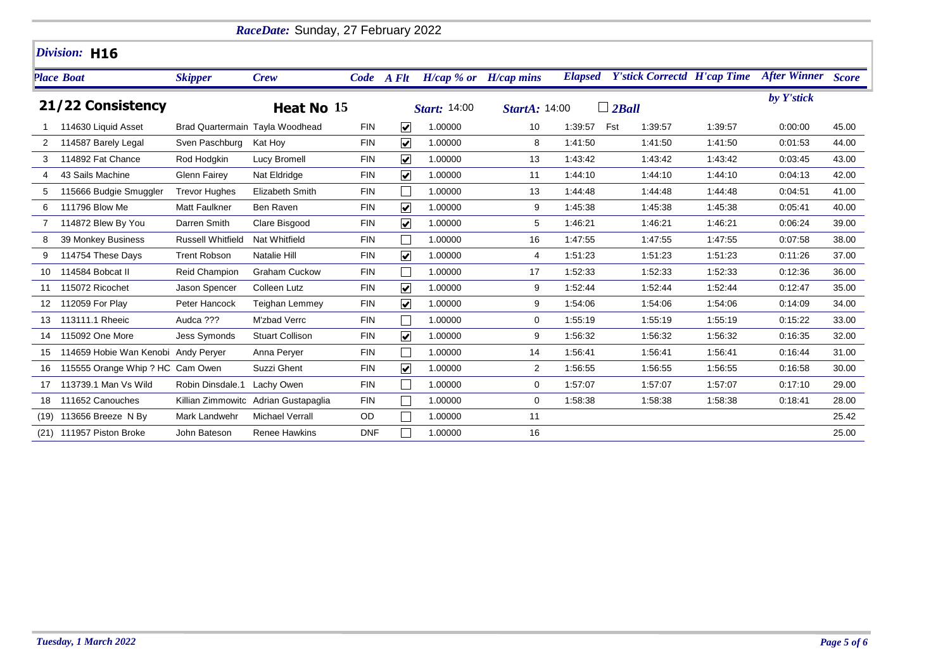|      |                                     |                          | RaceDate: Sunday, 27 February 2022   |            |                         |                           |                      |         |                                            |         |                           |       |
|------|-------------------------------------|--------------------------|--------------------------------------|------------|-------------------------|---------------------------|----------------------|---------|--------------------------------------------|---------|---------------------------|-------|
|      | Division: H16                       |                          |                                      |            |                         |                           |                      |         |                                            |         |                           |       |
|      | <b>Place Boat</b>                   | <b>Skipper</b>           | Crew                                 | Code A Flt |                         | $H/cap$ % or $H/cap$ mins |                      |         | <b>Elapsed</b> Y'stick Correctd H'cap Time |         | <b>After Winner Score</b> |       |
|      | 21/22 Consistency                   |                          | Heat No 15                           |            |                         | <b>Start: 14:00</b>       | <b>StartA: 14:00</b> |         | $\Box$ 2Ball                               |         | by Y'stick                |       |
|      | 114630 Liquid Asset                 |                          | Brad Quartermain Tayla Woodhead      | <b>FIN</b> | $\blacktriangledown$    | 1.00000                   | 10                   | 1:39:57 | Fst<br>1:39:57                             | 1:39:57 | 0:00:00                   | 45.00 |
| 2    | 114587 Barely Legal                 | Sven Paschburg           | Kat Hoy                              | <b>FIN</b> | $\blacktriangledown$    | 1.00000                   | 8                    | 1:41:50 | 1:41:50                                    | 1:41:50 | 0:01:53                   | 44.00 |
| 3    | 114892 Fat Chance                   | Rod Hodgkin              | Lucy Bromell                         | <b>FIN</b> | $\overline{\mathbf{v}}$ | 1.00000                   | 13                   | 1:43:42 | 1:43:42                                    | 1:43:42 | 0:03:45                   | 43.00 |
|      | 43 Sails Machine                    | <b>Glenn Fairey</b>      | Nat Eldridge                         | <b>FIN</b> | $\overline{\mathbf{v}}$ | 1.00000                   | 11                   | 1:44:10 | 1:44:10                                    | 1:44:10 | 0:04:13                   | 42.00 |
| 5    | 115666 Budgie Smuggler              | <b>Trevor Hughes</b>     | Elizabeth Smith                      | <b>FIN</b> |                         | 1.00000                   | 13                   | 1:44:48 | 1:44:48                                    | 1:44:48 | 0:04:51                   | 41.00 |
| 6    | 111796 Blow Me                      | <b>Matt Faulkner</b>     | Ben Raven                            | <b>FIN</b> | $\overline{\mathbf{v}}$ | 1.00000                   | 9                    | 1:45:38 | 1:45:38                                    | 1:45:38 | 0.05.41                   | 40.00 |
|      | 114872 Blew By You                  | Darren Smith             | Clare Bisgood                        | <b>FIN</b> | $\blacktriangledown$    | 1.00000                   | 5                    | 1:46:21 | 1:46:21                                    | 1:46:21 | 0:06:24                   | 39.00 |
| 8    | 39 Monkey Business                  | <b>Russell Whitfield</b> | Nat Whitfield                        | <b>FIN</b> |                         | 1.00000                   | 16                   | 1:47:55 | 1:47:55                                    | 1:47:55 | 0:07:58                   | 38.00 |
| 9    | 114754 These Days                   | <b>Trent Robson</b>      | Natalie Hill                         | <b>FIN</b> | $\blacktriangledown$    | 1.00000                   | 4                    | 1:51:23 | 1:51:23                                    | 1:51:23 | 0:11:26                   | 37.00 |
| 10   | 114584 Bobcat II                    | Reid Champion            | Graham Cuckow                        | <b>FIN</b> |                         | 1.00000                   | 17                   | 1:52:33 | 1:52:33                                    | 1:52:33 | 0:12:36                   | 36.00 |
| 11   | 115072 Ricochet                     | Jason Spencer            | <b>Colleen Lutz</b>                  | <b>FIN</b> | $\blacktriangledown$    | 1.00000                   | 9                    | 1:52:44 | 1:52:44                                    | 1:52:44 | 0:12:47                   | 35.00 |
| 12   | 112059 For Play                     | Peter Hancock            | <b>Teighan Lemmey</b>                | <b>FIN</b> | $\blacktriangledown$    | 1.00000                   | 9                    | 1:54:06 | 1:54:06                                    | 1:54:06 | 0:14:09                   | 34.00 |
| 13   | 113111.1 Rheeic                     | Audca ???                | M'zbad Verrc                         | <b>FIN</b> |                         | 1.00000                   | $\mathbf 0$          | 1:55:19 | 1:55:19                                    | 1:55:19 | 0:15:22                   | 33.00 |
| 14   | 115092 One More                     | <b>Jess Symonds</b>      | <b>Stuart Collison</b>               | <b>FIN</b> | $\blacktriangledown$    | 1.00000                   | 9                    | 1:56:32 | 1:56:32                                    | 1:56:32 | 0:16:35                   | 32.00 |
| 15   | 114659 Hobie Wan Kenobi Andy Perver |                          | Anna Perver                          | <b>FIN</b> |                         | 1.00000                   | 14                   | 1:56:41 | 1:56:41                                    | 1:56:41 | 0:16:44                   | 31.00 |
| 16   | 115555 Orange Whip ? HC Cam Owen    |                          | Suzzi Ghent                          | <b>FIN</b> | $\blacktriangledown$    | 1.00000                   | $\overline{2}$       | 1:56:55 | 1:56:55                                    | 1:56:55 | 0:16:58                   | 30.00 |
| 17   | 113739.1 Man Vs Wild                | Robin Dinsdale.1         | Lachy Owen                           | <b>FIN</b> |                         | 1.00000                   | 0                    | 1:57:07 | 1:57:07                                    | 1:57:07 | 0:17:10                   | 29.00 |
| 18   | 111652 Canouches                    |                          | Killian Zimmowitc Adrian Gustapaglia | <b>FIN</b> |                         | 1.00000                   | 0                    | 1:58:38 | 1:58:38                                    | 1:58:38 | 0.18.41                   | 28.00 |
| (19) | 113656 Breeze N By                  | Mark Landwehr            | <b>Michael Verrall</b>               | OD         |                         | 1.00000                   | 11                   |         |                                            |         |                           | 25.42 |
|      | (21) 111957 Piston Broke            | John Bateson             | <b>Renee Hawkins</b>                 | <b>DNF</b> |                         | 1.00000                   | 16                   |         |                                            |         |                           | 25.00 |